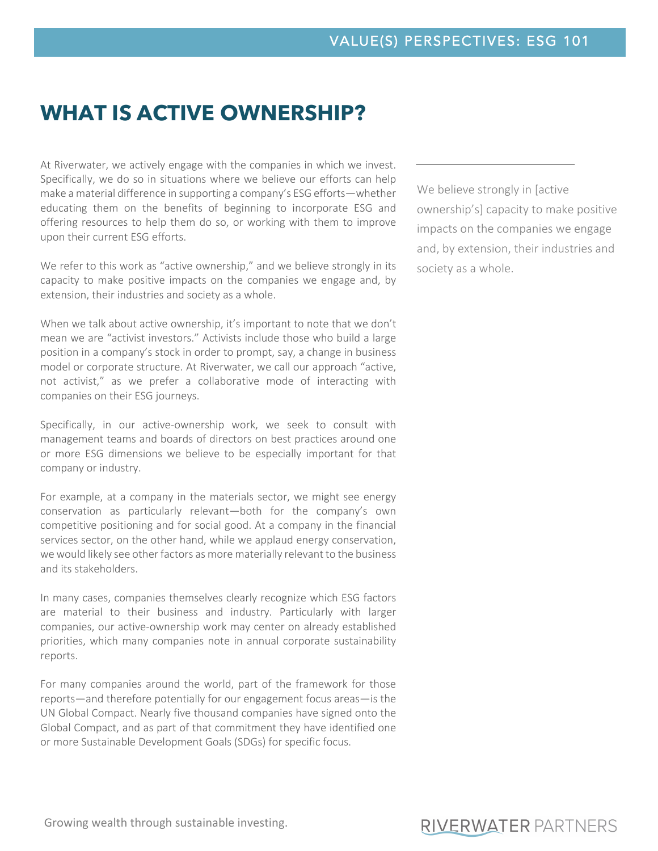# **WHAT IS ACTIVE OWNERSHIP?**

At Riverwater, we actively engage with the companies in which we invest. Specifically, we do so in situations where we believe our efforts can help make a material difference in supporting a company's ESG efforts—whether educating them on the benefits of beginning to incorporate ESG and offering resources to help them do so, or working with them to improve upon their current ESG efforts.

We refer to this work as "active ownership," and we believe strongly in its capacity to make positive impacts on the companies we engage and, by extension, their industries and society as a whole.

When we talk about active ownership, it's important to note that we don't mean we are "activist investors." Activists include those who build a large position in a company's stock in order to prompt, say, a change in business model or corporate structure. At Riverwater, we call our approach "active, not activist," as we prefer a collaborative mode of interacting with companies on their ESG journeys.

Specifically, in our active-ownership work, we seek to consult with management teams and boards of directors on best practices around one or more ESG dimensions we believe to be especially important for that company or industry.

For example, at a company in the materials sector, we might see energy conservation as particularly relevant—both for the company's own competitive positioning and for social good. At a company in the financial services sector, on the other hand, while we applaud energy conservation, we would likely see other factors as more materially relevant to the business and its stakeholders.

In many cases, companies themselves clearly recognize which ESG factors are material to their business and industry. Particularly with larger companies, our active-ownership work may center on already established priorities, which many companies note in annual corporate sustainability reports.

For many companies around the world, part of the framework for those reports—and therefore potentially for our engagement focus areas—is the UN Global Compact. Nearly five thousand companies have signed onto the Global Compact, and as part of that commitment they have identified one or more Sustainable Development Goals (SDGs) for specific focus.

We believe strongly in [active ownership's] capacity to make positive impacts on the companies we engage and, by extension, their industries and society as a whole.